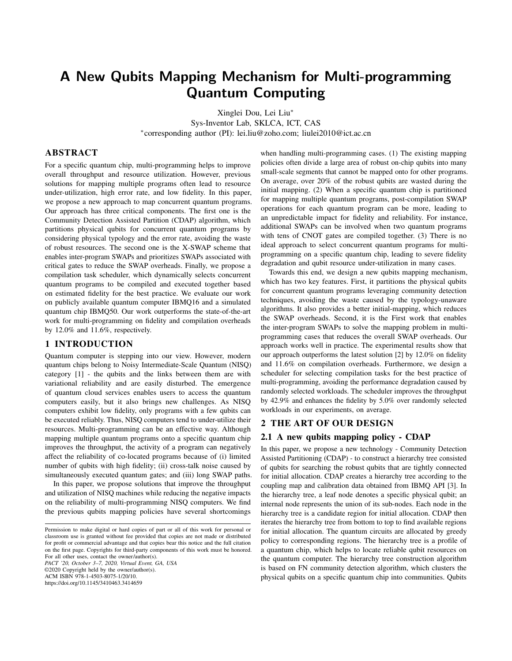# A New Qubits Mapping Mechanism for Multi-programming Quantum Computing

Xinglei Dou, Lei Liu<sup>∗</sup>

Sys-Inventor Lab, SKLCA, ICT, CAS ∗ corresponding author (PI): lei.liu@zoho.com; liulei2010@ict.ac.cn

## ABSTRACT

For a specific quantum chip, multi-programming helps to improve overall throughput and resource utilization. However, previous solutions for mapping multiple programs often lead to resource under-utilization, high error rate, and low fidelity. In this paper, we propose a new approach to map concurrent quantum programs. Our approach has three critical components. The first one is the Community Detection Assisted Partition (CDAP) algorithm, which partitions physical qubits for concurrent quantum programs by considering physical typology and the error rate, avoiding the waste of robust resources. The second one is the X-SWAP scheme that enables inter-program SWAPs and prioritizes SWAPs associated with critical gates to reduce the SWAP overheads. Finally, we propose a compilation task scheduler, which dynamically selects concurrent quantum programs to be compiled and executed together based on estimated fidelity for the best practice. We evaluate our work on publicly available quantum computer IBMQ16 and a simulated quantum chip IBMQ50. Our work outperforms the state-of-the-art work for multi-programming on fidelity and compilation overheads by 12.0% and 11.6%, respectively.

## 1 INTRODUCTION

Quantum computer is stepping into our view. However, modern quantum chips belong to Noisy Intermediate-Scale Quantum (NISQ) category [1] - the qubits and the links between them are with variational reliability and are easily disturbed. The emergence of quantum cloud services enables users to access the quantum computers easily, but it also brings new challenges. As NISQ computers exhibit low fidelity, only programs with a few qubits can be executed reliably. Thus, NISQ computers tend to under-utilize their resources. Multi-programming can be an effective way. Although mapping multiple quantum programs onto a specific quantum chip improves the throughput, the activity of a program can negatively affect the reliability of co-located programs because of (i) limited number of qubits with high fidelity; (ii) cross-talk noise caused by simultaneously executed quantum gates; and (iii) long SWAP paths.

In this paper, we propose solutions that improve the throughput and utilization of NISQ machines while reducing the negative impacts on the reliability of multi-programming NISQ computers. We find the previous qubits mapping policies have several shortcomings

*PACT '20, October 3–7, 2020, Virtual Event, GA, USA*

©2020 Copyright held by the owner/author(s). ACM ISBN 978-1-4503-8075-1/20/10.

when handling multi-programming cases. (1) The existing mapping policies often divide a large area of robust on-chip qubits into many small-scale segments that cannot be mapped onto for other programs. On average, over 20% of the robust qubits are wasted during the initial mapping. (2) When a specific quantum chip is partitioned for mapping multiple quantum programs, post-compilation SWAP operations for each quantum program can be more, leading to an unpredictable impact for fidelity and reliability. For instance, additional SWAPs can be involved when two quantum programs with tens of CNOT gates are compiled together. (3) There is no ideal approach to select concurrent quantum programs for multiprogramming on a specific quantum chip, leading to severe fidelity degradation and qubit resource under-utilization in many cases.

Towards this end, we design a new qubits mapping mechanism, which has two key features. First, it partitions the physical qubits for concurrent quantum programs leveraging community detection techniques, avoiding the waste caused by the typology-unaware algorithms. It also provides a better initial-mapping, which reduces the SWAP overheads. Second, it is the First work that enables the inter-program SWAPs to solve the mapping problem in multiprogramming cases that reduces the overall SWAP overheads. Our approach works well in practice. The experimental results show that our approach outperforms the latest solution [2] by 12.0% on fidelity and 11.6% on compilation overheads. Furthermore, we design a scheduler for selecting compilation tasks for the best practice of multi-programming, avoiding the performance degradation caused by randomly selected workloads. The scheduler improves the throughput by 42.9% and enhances the fidelity by 5.0% over randomly selected workloads in our experiments, on average.

#### 2 THE ART OF OUR DESIGN

### 2.1 A new qubits mapping policy - CDAP

In this paper, we propose a new technology - Community Detection Assisted Partitioning (CDAP) - to construct a hierarchy tree consisted of qubits for searching the robust qubits that are tightly connected for initial allocation. CDAP creates a hierarchy tree according to the coupling map and calibration data obtained from IBMQ API [3]. In the hierarchy tree, a leaf node denotes a specific physical qubit; an internal node represents the union of its sub-nodes. Each node in the hierarchy tree is a candidate region for initial allocation. CDAP then iterates the hierarchy tree from bottom to top to find available regions for initial allocation. The quantum circuits are allocated by greedy policy to corresponding regions. The hierarchy tree is a profile of a quantum chip, which helps to locate reliable qubit resources on the quantum computer. The hierarchy tree construction algorithm is based on FN community detection algorithm, which clusters the physical qubits on a specific quantum chip into communities. Qubits

Permission to make digital or hard copies of part or all of this work for personal or classroom use is granted without fee provided that copies are not made or distributed for profit or commercial advantage and that copies bear this notice and the full citation on the first page. Copyrights for third-party components of this work must be honored. For all other uses, contact the owner/author(s).

<https://doi.org/10.1145/3410463.3414659>